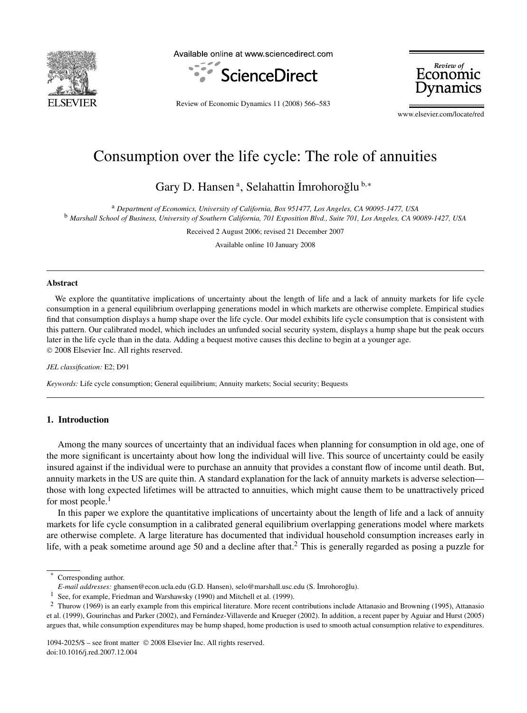

Available online at www.sciencedirect.com



Review of Economic

Review of Economic Dynamics 11 (2008) 566–583

www.elsevier.com/locate/red

## Consumption over the life cycle: The role of annuities

Gary D. Hansen<sup>a</sup>, Selahattin İmrohoroğlu<sup>b,\*</sup>

<sup>a</sup> *Department of Economics, University of California, Box 951477, Los Angeles, CA 90095-1477, USA* <sup>b</sup> *Marshall School of Business, University of Southern California, 701 Exposition Blvd., Suite 701, Los Angeles, CA 90089-1427, USA*

Received 2 August 2006; revised 21 December 2007

Available online 10 January 2008

### **Abstract**

We explore the quantitative implications of uncertainty about the length of life and a lack of annuity markets for life cycle consumption in a general equilibrium overlapping generations model in which markets are otherwise complete. Empirical studies find that consumption displays a hump shape over the life cycle. Our model exhibits life cycle consumption that is consistent with this pattern. Our calibrated model, which includes an unfunded social security system, displays a hump shape but the peak occurs later in the life cycle than in the data. Adding a bequest motive causes this decline to begin at a younger age. © 2008 Elsevier Inc. All rights reserved.

#### *JEL classification:* E2; D91

*Keywords:* Life cycle consumption; General equilibrium; Annuity markets; Social security; Bequests

### **1. Introduction**

Among the many sources of uncertainty that an individual faces when planning for consumption in old age, one of the more significant is uncertainty about how long the individual will live. This source of uncertainty could be easily insured against if the individual were to purchase an annuity that provides a constant flow of income until death. But, annuity markets in the US are quite thin. A standard explanation for the lack of annuity markets is adverse selection those with long expected lifetimes will be attracted to annuities, which might cause them to be unattractively priced for most people. $<sup>1</sup>$ </sup>

In this paper we explore the quantitative implications of uncertainty about the length of life and a lack of annuity markets for life cycle consumption in a calibrated general equilibrium overlapping generations model where markets are otherwise complete. A large literature has documented that individual household consumption increases early in life, with a peak sometime around age 50 and a decline after that.<sup>2</sup> This is generally regarded as posing a puzzle for

Corresponding author.

*E-mail addresses:* ghansen@econ.ucla.edu (G.D. Hansen), selo@marshall.usc.edu (S. ˙Imrohoroglu). ˘

<sup>&</sup>lt;sup>1</sup> See, for example, Friedman and Warshawsky (1990) and Mitchell et al. (1999).

<sup>&</sup>lt;sup>2</sup> Thurow (1969) is an early example from this empirical literature. More recent contributions include Attanasio and Browning (1995), Attanasio et al. (1999), Gourinchas and Parker (2002), and Fernández-Villaverde and Krueger (2002). In addition, a recent paper by Aguiar and Hurst (2005) argues that, while consumption expenditures may be hump shaped, home production is used to smooth actual consumption relative to expenditures.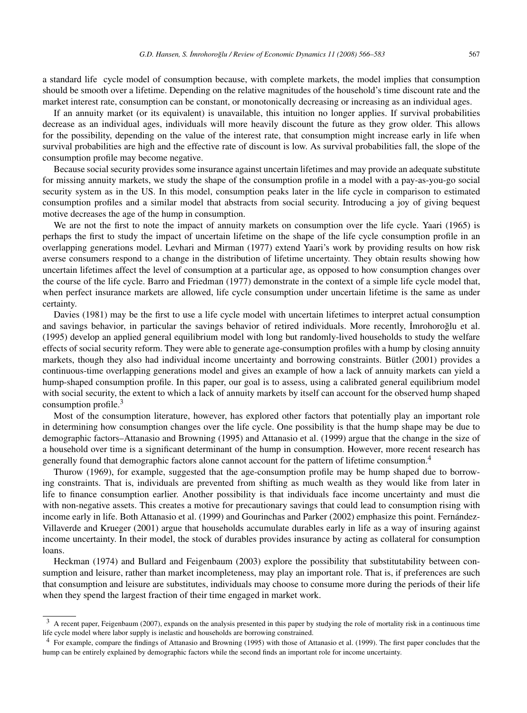a standard life cycle model of consumption because, with complete markets, the model implies that consumption should be smooth over a lifetime. Depending on the relative magnitudes of the household's time discount rate and the market interest rate, consumption can be constant, or monotonically decreasing or increasing as an individual ages.

If an annuity market (or its equivalent) is unavailable, this intuition no longer applies. If survival probabilities decrease as an individual ages, individuals will more heavily discount the future as they grow older. This allows for the possibility, depending on the value of the interest rate, that consumption might increase early in life when survival probabilities are high and the effective rate of discount is low. As survival probabilities fall, the slope of the consumption profile may become negative.

Because social security provides some insurance against uncertain lifetimes and may provide an adequate substitute for missing annuity markets, we study the shape of the consumption profile in a model with a pay-as-you-go social security system as in the US. In this model, consumption peaks later in the life cycle in comparison to estimated consumption profiles and a similar model that abstracts from social security. Introducing a joy of giving bequest motive decreases the age of the hump in consumption.

We are not the first to note the impact of annuity markets on consumption over the life cycle. Yaari (1965) is perhaps the first to study the impact of uncertain lifetime on the shape of the life cycle consumption profile in an overlapping generations model. Levhari and Mirman (1977) extend Yaari's work by providing results on how risk averse consumers respond to a change in the distribution of lifetime uncertainty. They obtain results showing how uncertain lifetimes affect the level of consumption at a particular age, as opposed to how consumption changes over the course of the life cycle. Barro and Friedman (1977) demonstrate in the context of a simple life cycle model that, when perfect insurance markets are allowed, life cycle consumption under uncertain lifetime is the same as under certainty.

Davies (1981) may be the first to use a life cycle model with uncertain lifetimes to interpret actual consumption and savings behavior, in particular the savings behavior of retired individuals. More recently, Imrohoroglu et al. (1995) develop an applied general equilibrium model with long but randomly-lived households to study the welfare effects of social security reform. They were able to generate age-consumption profiles with a hump by closing annuity markets, though they also had individual income uncertainty and borrowing constraints. Bütler (2001) provides a continuous-time overlapping generations model and gives an example of how a lack of annuity markets can yield a hump-shaped consumption profile. In this paper, our goal is to assess, using a calibrated general equilibrium model with social security, the extent to which a lack of annuity markets by itself can account for the observed hump shaped consumption profile. $3$ 

Most of the consumption literature, however, has explored other factors that potentially play an important role in determining how consumption changes over the life cycle. One possibility is that the hump shape may be due to demographic factors–Attanasio and Browning (1995) and Attanasio et al. (1999) argue that the change in the size of a household over time is a significant determinant of the hump in consumption. However, more recent research has generally found that demographic factors alone cannot account for the pattern of lifetime consumption.<sup>4</sup>

Thurow (1969), for example, suggested that the age-consumption profile may be hump shaped due to borrowing constraints. That is, individuals are prevented from shifting as much wealth as they would like from later in life to finance consumption earlier. Another possibility is that individuals face income uncertainty and must die with non-negative assets. This creates a motive for precautionary savings that could lead to consumption rising with income early in life. Both Attanasio et al. (1999) and Gourinchas and Parker (2002) emphasize this point. Fernández-Villaverde and Krueger (2001) argue that households accumulate durables early in life as a way of insuring against income uncertainty. In their model, the stock of durables provides insurance by acting as collateral for consumption loans.

Heckman (1974) and Bullard and Feigenbaum (2003) explore the possibility that substitutability between consumption and leisure, rather than market incompleteness, may play an important role. That is, if preferences are such that consumption and leisure are substitutes, individuals may choose to consume more during the periods of their life when they spend the largest fraction of their time engaged in market work.

<sup>&</sup>lt;sup>3</sup> A recent paper, Feigenbaum (2007), expands on the analysis presented in this paper by studying the role of mortality risk in a continuous time life cycle model where labor supply is inelastic and households are borrowing constrained.

<sup>&</sup>lt;sup>4</sup> For example, compare the findings of Attanasio and Browning (1995) with those of Attanasio et al. (1999). The first paper concludes that the hump can be entirely explained by demographic factors while the second finds an important role for income uncertainty.